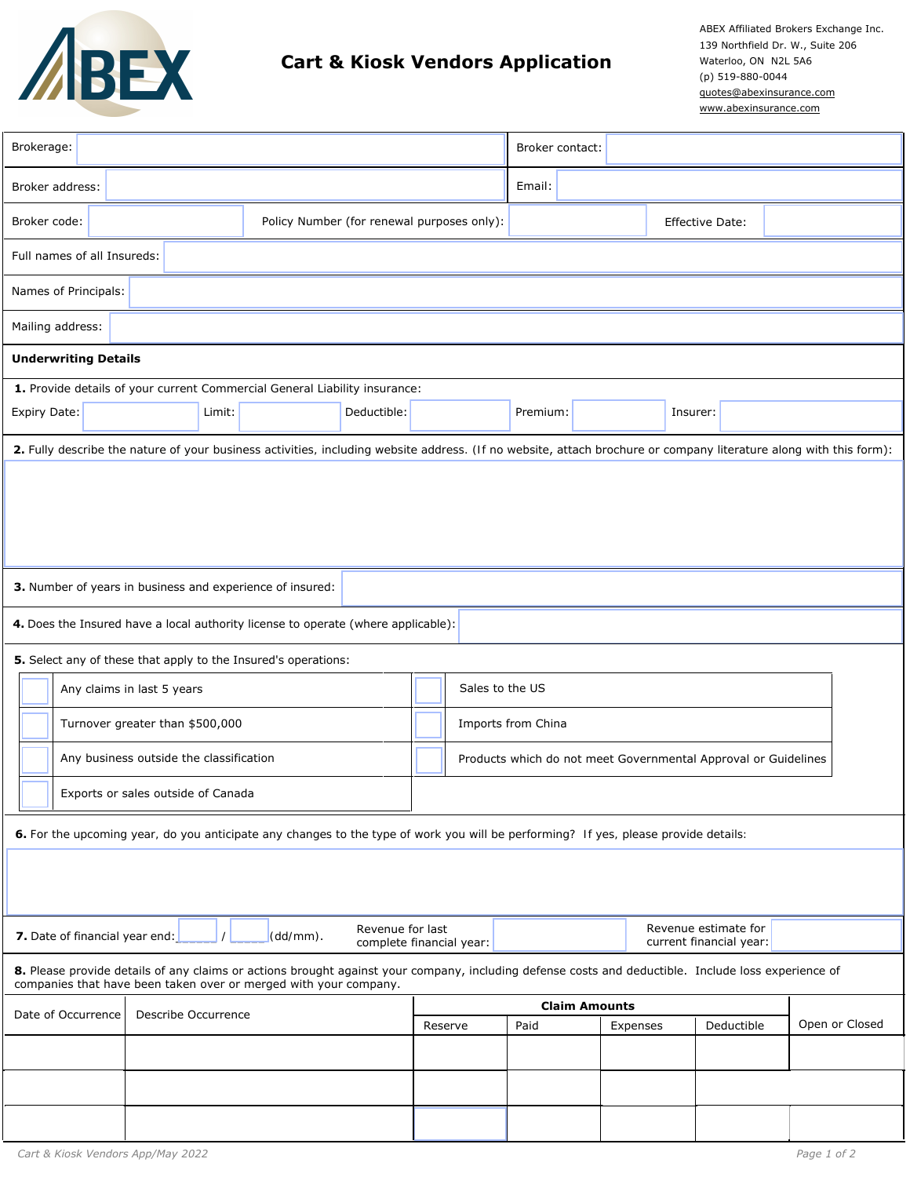

| Brokerage:                                                                                                                                                                                                              |                                                                                                                                                                   |                                            |             |                                                                |      | Broker contact:                                 |          |            |                        |                |  |
|-------------------------------------------------------------------------------------------------------------------------------------------------------------------------------------------------------------------------|-------------------------------------------------------------------------------------------------------------------------------------------------------------------|--------------------------------------------|-------------|----------------------------------------------------------------|------|-------------------------------------------------|----------|------------|------------------------|----------------|--|
| Broker address:                                                                                                                                                                                                         |                                                                                                                                                                   |                                            |             |                                                                |      | Email:                                          |          |            |                        |                |  |
| Broker code:                                                                                                                                                                                                            |                                                                                                                                                                   | Policy Number (for renewal purposes only): |             |                                                                |      |                                                 |          |            | <b>Effective Date:</b> |                |  |
| Full names of all Insureds:                                                                                                                                                                                             |                                                                                                                                                                   |                                            |             |                                                                |      |                                                 |          |            |                        |                |  |
| Names of Principals:                                                                                                                                                                                                    |                                                                                                                                                                   |                                            |             |                                                                |      |                                                 |          |            |                        |                |  |
| Mailing address:                                                                                                                                                                                                        |                                                                                                                                                                   |                                            |             |                                                                |      |                                                 |          |            |                        |                |  |
| <b>Underwriting Details</b>                                                                                                                                                                                             |                                                                                                                                                                   |                                            |             |                                                                |      |                                                 |          |            |                        |                |  |
|                                                                                                                                                                                                                         | 1. Provide details of your current Commercial General Liability insurance:                                                                                        |                                            |             |                                                                |      |                                                 |          |            |                        |                |  |
| Expiry Date:                                                                                                                                                                                                            | Limit:                                                                                                                                                            |                                            | Deductible: |                                                                |      | Premium:                                        |          |            | Insurer:               |                |  |
|                                                                                                                                                                                                                         | 2. Fully describe the nature of your business activities, including website address. (If no website, attach brochure or company literature along with this form): |                                            |             |                                                                |      |                                                 |          |            |                        |                |  |
|                                                                                                                                                                                                                         |                                                                                                                                                                   |                                            |             |                                                                |      |                                                 |          |            |                        |                |  |
| 3. Number of years in business and experience of insured:                                                                                                                                                               |                                                                                                                                                                   |                                            |             |                                                                |      |                                                 |          |            |                        |                |  |
| 4. Does the Insured have a local authority license to operate (where applicable):                                                                                                                                       |                                                                                                                                                                   |                                            |             |                                                                |      |                                                 |          |            |                        |                |  |
| 5. Select any of these that apply to the Insured's operations:                                                                                                                                                          |                                                                                                                                                                   |                                            |             |                                                                |      |                                                 |          |            |                        |                |  |
| Any claims in last 5 years                                                                                                                                                                                              |                                                                                                                                                                   |                                            |             | Sales to the US                                                |      |                                                 |          |            |                        |                |  |
| Turnover greater than \$500,000                                                                                                                                                                                         |                                                                                                                                                                   |                                            |             | Imports from China                                             |      |                                                 |          |            |                        |                |  |
| Any business outside the classification                                                                                                                                                                                 |                                                                                                                                                                   |                                            |             | Products which do not meet Governmental Approval or Guidelines |      |                                                 |          |            |                        |                |  |
| Exports or sales outside of Canada                                                                                                                                                                                      |                                                                                                                                                                   |                                            |             |                                                                |      |                                                 |          |            |                        |                |  |
| 6. For the upcoming year, do you anticipate any changes to the type of work you will be performing? If yes, please provide details:                                                                                     |                                                                                                                                                                   |                                            |             |                                                                |      |                                                 |          |            |                        |                |  |
|                                                                                                                                                                                                                         |                                                                                                                                                                   |                                            |             |                                                                |      |                                                 |          |            |                        |                |  |
| Revenue for last<br>7. Date of financial year end:<br>$(dd/mm)$ .<br>complete financial year:                                                                                                                           |                                                                                                                                                                   |                                            |             |                                                                |      | Revenue estimate for<br>current financial year: |          |            |                        |                |  |
| 8. Please provide details of any claims or actions brought against your company, including defense costs and deductible. Include loss experience of<br>companies that have been taken over or merged with your company. |                                                                                                                                                                   |                                            |             |                                                                |      |                                                 |          |            |                        |                |  |
|                                                                                                                                                                                                                         | <b>Claim Amounts</b>                                                                                                                                              |                                            |             |                                                                |      |                                                 |          |            |                        |                |  |
| Date of Occurrence                                                                                                                                                                                                      | Describe Occurrence                                                                                                                                               |                                            |             | Reserve                                                        | Paid |                                                 | Expenses | Deductible |                        | Open or Closed |  |
|                                                                                                                                                                                                                         |                                                                                                                                                                   |                                            |             |                                                                |      |                                                 |          |            |                        |                |  |
|                                                                                                                                                                                                                         |                                                                                                                                                                   |                                            |             |                                                                |      |                                                 |          |            |                        |                |  |
|                                                                                                                                                                                                                         |                                                                                                                                                                   |                                            |             |                                                                |      |                                                 |          |            |                        |                |  |